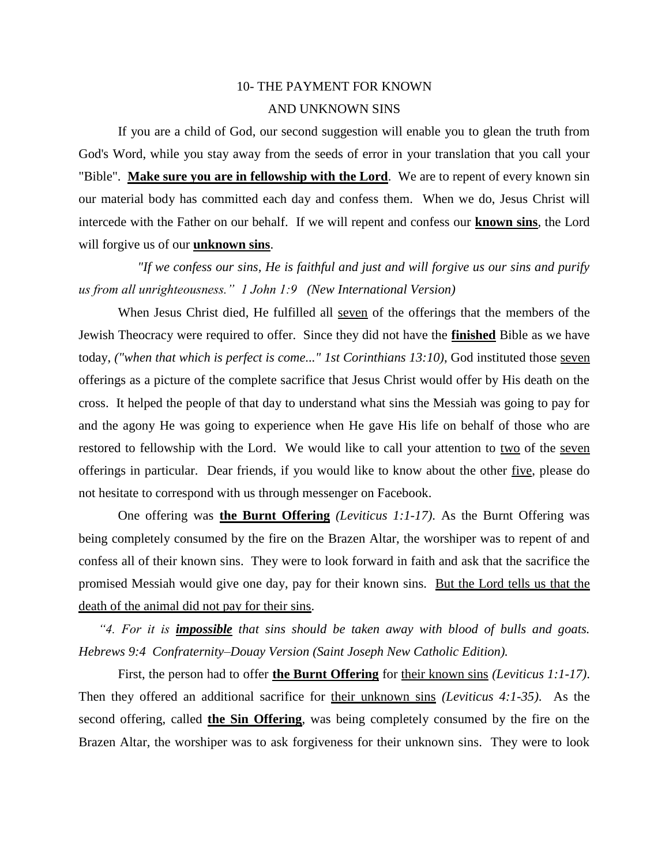## 10- THE PAYMENT FOR KNOWN AND UNKNOWN SINS

If you are a child of God, our second suggestion will enable you to glean the truth from God's Word, while you stay away from the seeds of error in your translation that you call your "Bible". **Make sure you are in fellowship with the Lord**. We are to repent of every known sin our material body has committed each day and confess them. When we do, Jesus Christ will intercede with the Father on our behalf. If we will repent and confess our **known sins**, the Lord will forgive us of our **unknown sins**.

 *"If we confess our sins, He is faithful and just and will forgive us our sins and purify us from all unrighteousness." 1 John 1:9 (New International Version)*

When Jesus Christ died, He fulfilled all seven of the offerings that the members of the Jewish Theocracy were required to offer. Since they did not have the **finished** Bible as we have today, *("when that which is perfect is come..." 1st Corinthians 13:10)*, God instituted those seven offerings as a picture of the complete sacrifice that Jesus Christ would offer by His death on the cross. It helped the people of that day to understand what sins the Messiah was going to pay for and the agony He was going to experience when He gave His life on behalf of those who are restored to fellowship with the Lord. We would like to call your attention to two of the seven offerings in particular. Dear friends, if you would like to know about the other five, please do not hesitate to correspond with us through messenger on Facebook.

One offering was **the Burnt Offering** *(Leviticus 1:1-17)*. As the Burnt Offering was being completely consumed by the fire on the Brazen Altar, the worshiper was to repent of and confess all of their known sins. They were to look forward in faith and ask that the sacrifice the promised Messiah would give one day, pay for their known sins. But the Lord tells us that the death of the animal did not pay for their sins.

*"4. For it is impossible that sins should be taken away with blood of bulls and goats. Hebrews 9:4 Confraternity–Douay Version (Saint Joseph New Catholic Edition).*

First, the person had to offer **the Burnt Offering** for their known sins *(Leviticus 1:1-17)*. Then they offered an additional sacrifice for their unknown sins *(Leviticus 4:1-35)*. As the second offering, called **the Sin Offering**, was being completely consumed by the fire on the Brazen Altar, the worshiper was to ask forgiveness for their unknown sins. They were to look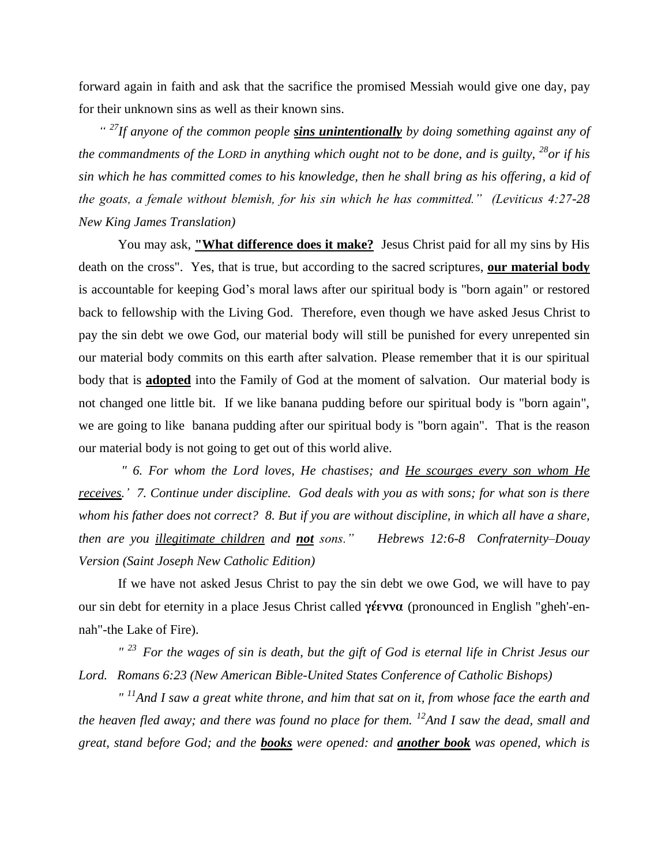forward again in faith and ask that the sacrifice the promised Messiah would give one day, pay for their unknown sins as well as their known sins.

*" <sup>27</sup>If anyone of the common people sins unintentionally by doing something against any of the commandments of the LORD in anything which ought not to be done, and is guilty, <sup>28</sup>or if his sin which he has committed comes to his knowledge, then he shall bring as his offering, a kid of the goats, a female without blemish, for his sin which he has committed." (Leviticus 4:27-28 New King James Translation)* 

You may ask, **"What difference does it make?** Jesus Christ paid for all my sins by His death on the cross". Yes, that is true, but according to the sacred scriptures, **our material body** is accountable for keeping God's moral laws after our spiritual body is "born again" or restored back to fellowship with the Living God. Therefore, even though we have asked Jesus Christ to pay the sin debt we owe God, our material body will still be punished for every unrepented sin our material body commits on this earth after salvation. Please remember that it is our spiritual body that is **adopted** into the Family of God at the moment of salvation. Our material body is not changed one little bit. If we like banana pudding before our spiritual body is "born again", we are going to like banana pudding after our spiritual body is "born again". That is the reason our material body is not going to get out of this world alive.

*" 6. For whom the Lord loves, He chastises; and He scourges every son whom He receives.' 7. Continue under discipline. God deals with you as with sons; for what son is there whom his father does not correct? 8. But if you are without discipline, in which all have a share, then are you illegitimate children and not sons." Hebrews 12:6-8 Confraternity–Douay Version (Saint Joseph New Catholic Edition)* 

If we have not asked Jesus Christ to pay the sin debt we owe God, we will have to pay our sin debt for eternity in a place Jesus Christ called **γέεννα** (pronounced in English "gheh'-ennah"-the Lake of Fire).

*" <sup>23</sup>For the wages of sin is death, but the gift of God is eternal life in Christ Jesus our Lord. Romans 6:23 (New American Bible-United States Conference of Catholic Bishops)* 

*" <sup>11</sup>And I saw a great white throne, and him that sat on it, from whose face the earth and the heaven fled away; and there was found no place for them.* <sup>12</sup>*And I saw the dead, small and great, stand before God; and the books were opened: and another book was opened, which is*